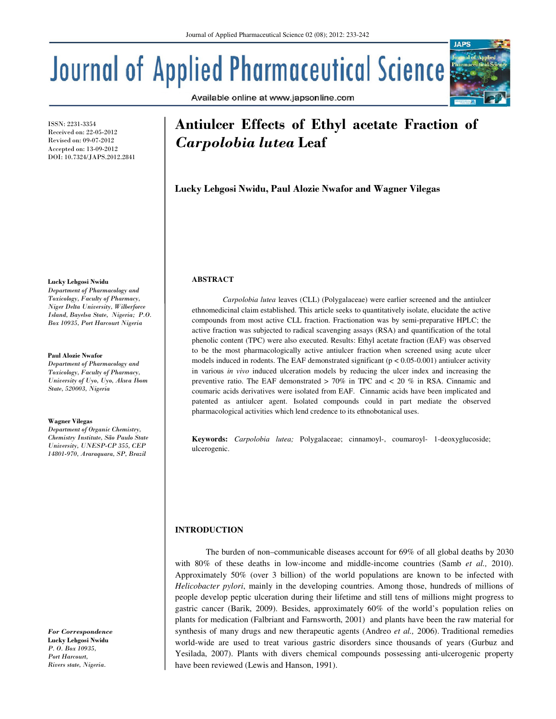Available online at www.japsonline.com

# Journal of Applied Pharmaceutical Science

ISSN: 2231-3354 Received on: 22-05-2012 Revised on: 09-07-2012 Accepted on: 13-09-2012 DOI: 10.7324/JAPS.2012.2841

#### Lucky Lebgosi Nwidu

Department of Pharmacology and Toxicology, Faculty of Pharmacy, Niger Delta University, Wilberforce Island, Bayelsa State, Nigeria; P.O. Box 10935, Port Harcourt Nigeria

#### Paul Alozie Nwafor

Department of Pharmacology and Toxicology, Faculty of Pharmacy, University of Uyo, Uyo, Akwa Ibom State, 520003, Nigeria

#### Wagner Vilegas

Department of Organic Chemistry, Chemistry Institute, São Paulo State University, UNESP-CP 355, CEP 14801-970, Araraquara, SP, Brazil

For Correspondence Lucky Lebgosi Nwidu P. O. Box 10935, Port Harcourt, Rivers state, Nigeria.

# Antiulcer Effects of Ethyl acetate Fraction of Carpolobia lutea Leaf

Lucky Lebgosi Nwidu, Paul Alozie Nwafor and Wagner Vilegas

## **ABSTRACT**

*Carpolobia lutea* leaves (CLL) (Polygalaceae) were earlier screened and the antiulcer ethnomedicinal claim established. This article seeks to quantitatively isolate, elucidate the active compounds from most active CLL fraction. Fractionation was by semi-preparative HPLC; the active fraction was subjected to radical scavenging assays (RSA) and quantification of the total phenolic content (TPC) were also executed. Results: Ethyl acetate fraction (EAF) was observed to be the most pharmacologically active antiulcer fraction when screened using acute ulcer models induced in rodents. The EAF demonstrated significant ( $p < 0.05$ -0.001) antiulcer activity in various *in vivo* induced ulceration models by reducing the ulcer index and increasing the preventive ratio. The EAF demonstrated  $> 70\%$  in TPC and  $< 20\%$  in RSA. Cinnamic and coumaric acids derivatives were isolated from EAF. Cinnamic acids have been implicated and patented as antiulcer agent. Isolated compounds could in part mediate the observed pharmacological activities which lend credence to its ethnobotanical uses.

**Keywords:** *Carpolobia lutea;* Polygalaceae; cinnamoyl-, coumaroyl- 1-deoxyglucoside; ulcerogenic.

# **INTRODUCTION**

 The burden of non–communicable diseases account for 69% of all global deaths by 2030 with 80% of these deaths in low-income and middle-income countries (Samb *et al.,* 2010). Approximately 50% (over 3 billion) of the world populations are known to be infected with *Helicobacter pylori*, mainly in the developing countries. Among those, hundreds of millions of people develop peptic ulceration during their lifetime and still tens of millions might progress to gastric cancer (Barik, 2009). Besides, approximately 60% of the world's population relies on plants for medication (Falbriant and Farnsworth, 2001) and plants have been the raw material for synthesis of many drugs and new therapeutic agents (Andreo *et al.,* 2006). Traditional remedies world-wide are used to treat various gastric disorders since thousands of years (Gurbuz and Yesilada, 2007). Plants with divers chemical compounds possessing anti-ulcerogenic property have been reviewed (Lewis and Hanson, 1991).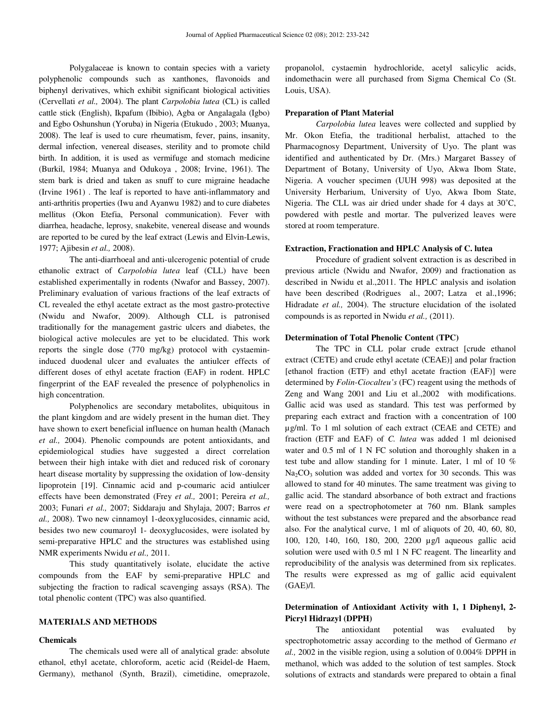Polygalaceae is known to contain species with a variety polyphenolic compounds such as xanthones, flavonoids and biphenyl derivatives, which exhibit significant biological activities (Cervellati *et al.,* 2004). The plant *Carpolobia lutea* (CL) is called cattle stick (English), Ikpafum (Ibibio), Agba or Angalagala (Igbo) and Egbo Oshunshun (Yoruba) in Nigeria (Etukudo , 2003; Muanya, 2008). The leaf is used to cure rheumatism, fever, pains, insanity, dermal infection, venereal diseases, sterility and to promote child birth. In addition, it is used as vermifuge and stomach medicine (Burkil, 1984; Muanya and Odukoya , 2008; Irvine, 1961). The stem bark is dried and taken as snuff to cure migraine headache (Irvine 1961) . The leaf is reported to have anti-inflammatory and anti-arthritis properties (Iwu and Ayanwu 1982) and to cure diabetes mellitus (Okon Etefia, Personal communication). Fever with diarrhea, headache, leprosy, snakebite, venereal disease and wounds are reported to be cured by the leaf extract (Lewis and Elvin-Lewis, 1977; Ajibesin *et al.,* 2008).

The anti-diarrhoeal and anti-ulcerogenic potential of crude ethanolic extract of *Carpolobia lutea* leaf (CLL) have been established experimentally in rodents (Nwafor and Bassey, 2007). Preliminary evaluation of various fractions of the leaf extracts of CL revealed the ethyl acetate extract as the most gastro-protective (Nwidu and Nwafor, 2009). Although CLL is patronised traditionally for the management gastric ulcers and diabetes, the biological active molecules are yet to be elucidated. This work reports the single dose (770 mg/kg) protocol with cystaemininduced duodenal ulcer and evaluates the antiulcer effects of different doses of ethyl acetate fraction (EAF) in rodent. HPLC fingerprint of the EAF revealed the presence of polyphenolics in high concentration.

Polyphenolics are secondary metabolites, ubiquitous in the plant kingdom and are widely present in the human diet. They have shown to exert beneficial influence on human health (Manach *et al.,* 2004). Phenolic compounds are potent antioxidants, and epidemiological studies have suggested a direct correlation between their high intake with diet and reduced risk of coronary heart disease mortality by suppressing the oxidation of low-density lipoprotein [19]. Cinnamic acid and p-coumaric acid antiulcer effects have been demonstrated (Frey *et al.,* 2001; Pereira *et al.,*  2003; Funari *et al.,* 2007; Siddaraju and Shylaja, 2007; Barros *et al.,* 2008). Two new cinnamoyl 1-deoxyglucosides, cinnamic acid, besides two new coumaroyl 1- deoxyglucosides, were isolated by semi-preparative HPLC and the structures was established using NMR experiments Nwidu *et al.,* 2011.

This study quantitatively isolate, elucidate the active compounds from the EAF by semi-preparative HPLC and subjecting the fraction to radical scavenging assays (RSA). The total phenolic content (TPC) was also quantified.

# **MATERIALS AND METHODS**

#### **Chemicals**

The chemicals used were all of analytical grade: absolute ethanol, ethyl acetate, chloroform, acetic acid (Reidel-de Haem, Germany), methanol (Synth, Brazil), cimetidine, omeprazole, propanolol, cystaemin hydrochloride, acetyl salicylic acids, indomethacin were all purchased from Sigma Chemical Co (St. Louis, USA).

#### **Preparation of Plant Material**

*Carpolobia lutea* leaves were collected and supplied by Mr. Okon Etefia, the traditional herbalist, attached to the Pharmacognosy Department, University of Uyo. The plant was identified and authenticated by Dr. (Mrs.) Margaret Bassey of Department of Botany, University of Uyo, Akwa Ibom State, Nigeria. A voucher specimen (UUH 998) was deposited at the University Herbarium, University of Uyo, Akwa Ibom State, Nigeria. The CLL was air dried under shade for 4 days at 30˚C, powdered with pestle and mortar. The pulverized leaves were stored at room temperature.

## **Extraction, Fractionation and HPLC Analysis of C. lutea**

Procedure of gradient solvent extraction is as described in previous article (Nwidu and Nwafor, 2009) and fractionation as described in Nwidu et al.,2011. The HPLC analysis and isolation have been described (Rodrigues al., 2007; Latza et al., 1996; Hidradate *et al.,* 2004). The structure elucidation of the isolated compounds is as reported in Nwidu *et al.,* (2011).

#### **Determination of Total Phenolic Content (TPC)**

The TPC in CLL polar crude extract [crude ethanol extract (CETE) and crude ethyl acetate (CEAE)] and polar fraction [ethanol fraction (ETF) and ethyl acetate fraction (EAF)] were determined by *Folin-Ciocalteu's* (FC) reagent using the methods of Zeng and Wang 2001 and Liu et al.,2002 with modifications. Gallic acid was used as standard. This test was performed by preparing each extract and fraction with a concentration of 100 µg/ml. To 1 ml solution of each extract (CEAE and CETE) and fraction (ETF and EAF) of *C. lutea* was added 1 ml deionised water and 0.5 ml of 1 N FC solution and thoroughly shaken in a test tube and allow standing for 1 minute. Later, 1 ml of 10 %  $Na<sub>2</sub>CO<sub>3</sub>$  solution was added and vortex for 30 seconds. This was allowed to stand for 40 minutes. The same treatment was giving to gallic acid. The standard absorbance of both extract and fractions were read on a spectrophotometer at 760 nm. Blank samples without the test substances were prepared and the absorbance read also. For the analytical curve, 1 ml of aliquots of 20, 40, 60, 80, 100, 120, 140, 160, 180, 200, 2200 µg/l aqueous gallic acid solution were used with 0.5 ml 1 N FC reagent. The linearlity and reproducibility of the analysis was determined from six replicates. The results were expressed as mg of gallic acid equivalent (GAE)/l.

# **Determination of Antioxidant Activity with 1, 1 Diphenyl, 2- Picryl Hidrazyl (DPPH)**

The antioxidant potential was evaluated by spectrophotometric assay according to the method of Germano *et al.,* 2002 in the visible region, using a solution of 0.004% DPPH in methanol, which was added to the solution of test samples. Stock solutions of extracts and standards were prepared to obtain a final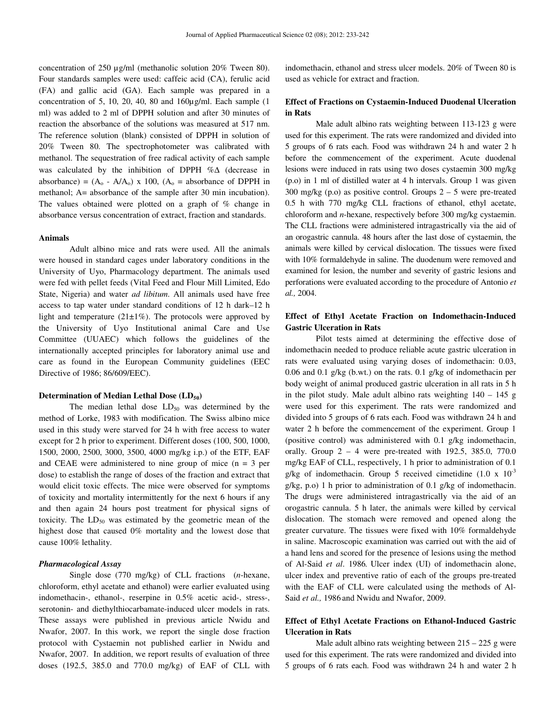concentration of 250 µg/ml (methanolic solution 20% Tween 80). Four standards samples were used: caffeic acid (CA), ferulic acid (FA) and gallic acid (GA). Each sample was prepared in a concentration of 5, 10, 20, 40, 80 and 160µg/ml. Each sample (1 ml) was added to 2 ml of DPPH solution and after 30 minutes of reaction the absorbance of the solutions was measured at 517 nm. The reference solution (blank) consisted of DPPH in solution of 20% Tween 80. The spectrophotometer was calibrated with methanol. The sequestration of free radical activity of each sample was calculated by the inhibition of DPPH %∆ (decrease in absorbance) =  $(A_0 - A/A_0)$  x 100,  $(A_0 =$  absorbance of DPPH in methanol; A= absorbance of the sample after 30 min incubation). The values obtained were plotted on a graph of % change in absorbance versus concentration of extract, fraction and standards.

#### **Animals**

Adult albino mice and rats were used. All the animals were housed in standard cages under laboratory conditions in the University of Uyo, Pharmacology department. The animals used were fed with pellet feeds (Vital Feed and Flour Mill Limited, Edo State, Nigeria) and water *ad libitum*. All animals used have free access to tap water under standard conditions of 12 h dark–12 h light and temperature  $(21\pm1\%)$ . The protocols were approved by the University of Uyo Institutional animal Care and Use Committee (UUAEC) which follows the guidelines of the internationally accepted principles for laboratory animal use and care as found in the European Community guidelines (EEC Directive of 1986; 86/609/EEC).

#### **Determination of Median Lethal Dose (LD50)**

The median lethal dose  $LD_{50}$  was determined by the method of Lorke, 1983 with modification. The Swiss albino mice used in this study were starved for 24 h with free access to water except for 2 h prior to experiment. Different doses (100, 500, 1000, 1500, 2000, 2500, 3000, 3500, 4000 mg/kg i.p.) of the ETF, EAF and CEAE were administered to nine group of mice  $(n = 3$  per dose) to establish the range of doses of the fraction and extract that would elicit toxic effects. The mice were observed for symptoms of toxicity and mortality intermittently for the next 6 hours if any and then again 24 hours post treatment for physical signs of toxicity. The  $LD_{50}$  was estimated by the geometric mean of the highest dose that caused 0% mortality and the lowest dose that cause 100% lethality.

#### *Pharmacological Assay*

Single dose (770 mg/kg) of CLL fractions (*n*-hexane, chloroform, ethyl acetate and ethanol) were earlier evaluated using indomethacin-, ethanol-, reserpine in 0.5% acetic acid-, stress-, serotonin- and diethylthiocarbamate-induced ulcer models in rats. These assays were published in previous article Nwidu and Nwafor, 2007. In this work, we report the single dose fraction protocol with Cystaemin not published earlier in Nwidu and Nwafor, 2007. In addition, we report results of evaluation of three doses (192.5, 385.0 and 770.0 mg/kg) of EAF of CLL with

indomethacin, ethanol and stress ulcer models. 20% of Tween 80 is used as vehicle for extract and fraction.

# **Effect of Fractions on Cystaemin-Induced Duodenal Ulceration in Rats**

Male adult albino rats weighting between 113-123 g were used for this experiment. The rats were randomized and divided into 5 groups of 6 rats each. Food was withdrawn 24 h and water 2 h before the commencement of the experiment. Acute duodenal lesions were induced in rats using two doses cystaemin 300 mg/kg (p.o) in 1 ml of distilled water at 4 h intervals. Group 1 was given  $300 \text{ mg/kg}$  (p.o) as positive control. Groups  $2 - 5$  were pre-treated 0.5 h with 770 mg/kg CLL fractions of ethanol, ethyl acetate, chloroform and *n*-hexane, respectively before 300 mg/kg cystaemin. The CLL fractions were administered intragastrically via the aid of an orogastric cannula. 48 hours after the last dose of cystaemin, the animals were killed by cervical dislocation. The tissues were fixed with 10% formaldehyde in saline. The duodenum were removed and examined for lesion, the number and severity of gastric lesions and perforations were evaluated according to the procedure of Antonio *et al.,* 2004.

# **Effect of Ethyl Acetate Fraction on Indomethacin-Induced Gastric Ulceration in Rats**

Pilot tests aimed at determining the effective dose of indomethacin needed to produce reliable acute gastric ulceration in rats were evaluated using varying doses of indomethacin: 0.03, 0.06 and 0.1 g/kg (b.wt.) on the rats. 0.1 g/kg of indomethacin per body weight of animal produced gastric ulceration in all rats in 5 h in the pilot study. Male adult albino rats weighting  $140 - 145$  g were used for this experiment. The rats were randomized and divided into 5 groups of 6 rats each. Food was withdrawn 24 h and water 2 h before the commencement of the experiment. Group 1 (positive control) was administered with 0.1 g/kg indomethacin, orally. Group 2 – 4 were pre-treated with 192.5, 385.0, 770.0 mg/kg EAF of CLL, respectively, 1 h prior to administration of 0.1 g/kg of indomethacin. Group 5 received cimetidine  $(1.0 \times 10^{-3}$ g/kg, p.o) 1 h prior to administration of 0.1 g/kg of indomethacin. The drugs were administered intragastrically via the aid of an orogastric cannula. 5 h later, the animals were killed by cervical dislocation. The stomach were removed and opened along the greater curvature. The tissues were fixed with 10% formaldehyde in saline. Macroscopic examination was carried out with the aid of a hand lens and scored for the presence of lesions using the method of Al-Said *et al*. 1986*.* Ulcer index (UI) of indomethacin alone, ulcer index and preventive ratio of each of the groups pre-treated with the EAF of CLL were calculated using the methods of Al-Said *et al.,* 1986 and Nwidu and Nwafor, 2009.

# **Effect of Ethyl Acetate Fractions on Ethanol-Induced Gastric Ulceration in Rats**

Male adult albino rats weighting between  $215 - 225$  g were used for this experiment. The rats were randomized and divided into 5 groups of 6 rats each. Food was withdrawn 24 h and water 2 h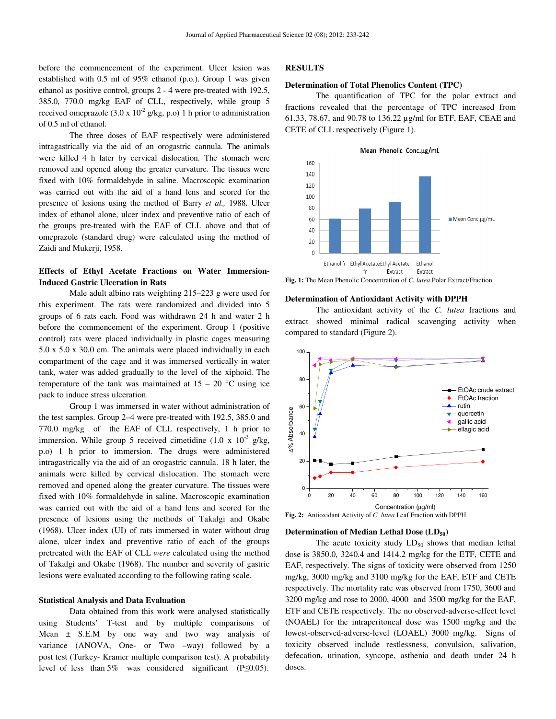before the commencement of the experiment. Ulcer lesion was established with 0.5 ml of 95% ethanol (p.o.). Group 1 was given ethanol as positive control, groups 2 - 4 were pre-treated with 192.5, 385.0, 770.0 mg/kg EAF of CLL, respectively, while group 5 received omeprazole (3.0 x  $10^{-2}$  g/kg, p.o) 1 h prior to administration of 0.5 ml of ethanol.

The three doses of EAF respectively were administered intragastrically via the aid of an orogastric cannula. The animals were killed 4 h later by cervical dislocation. The stomach were removed and opened along the greater curvature. The tissues were fixed with 10% formaldehyde in saline. Macroscopic examination was carried out with the aid of a hand lens and scored for the presence of lesions using the method of Barry *et al.,* 1988. Ulcer index of ethanol alone, ulcer index and preventive ratio of each of the groups pre-treated with the EAF of CLL above and that of omeprazole (standard drug) were calculated using the method of Zaidi and Mukerji, 1958.

# **Effects of Ethyl Acetate Fractions on Water Immersion-Induced Gastric Ulceration in Rats**

Male adult albino rats weighting 215–223 g were used for this experiment. The rats were randomized and divided into 5 groups of 6 rats each. Food was withdrawn 24 h and water 2 h before the commencement of the experiment. Group 1 (positive control) rats were placed individually in plastic cages measuring 5.0 x 5.0 x 30.0 cm. The animals were placed individually in each compartment of the cage and it was immersed vertically in water tank, water was added gradually to the level of the xiphoid. The temperature of the tank was maintained at  $15 - 20$  °C using ice pack to induce stress ulceration.

Group 1 was immersed in water without administration of the test samples. Group 2–4 were pre-treated with 192.5, 385.0 and 770.0 mg/kg of the EAF of CLL respectively, 1 h prior to immersion. While group 5 received cimetidine (1.0 x  $10^{-3}$  g/kg, p.o) 1 h prior to immersion. The drugs were administered intragastrically via the aid of an orogastric cannula. 18 h later, the animals were killed by cervical dislocation. The stomach were removed and opened along the greater curvature. The tissues were fixed with 10% formaldehyde in saline. Macroscopic examination was carried out with the aid of a hand lens and scored for the presence of lesions using the methods of Takalgi and Okabe (1968). Ulcer index (UI) of rats immersed in water without drug alone, ulcer index and preventive ratio of each of the groups pretreated with the EAF of CLL *were* calculated using the method of Takalgi and Okabe (1968). The number and severity of gastric lesions were evaluated according to the following rating scale.

## **Statistical Analysis and Data Evaluation**

Data obtained from this work were analysed statistically using Students' T-test and by multiple comparisons of Mean  $\pm$  S.E.M by one way and two way analysis of variance (ANOVA, One- or Two –way) followed by a post test (Turkey- Kramer multiple comparison test). A probability level of less than 5% was considered significant (P≤0.05).

# **RESULTS**

# **Determination of Total Phenolics Content (TPC)**

The quantification of TPC for the polar extract and fractions revealed that the percentage of TPC increased from 61.33, 78.67, and 90.78 to 136.22 µg/ml for ETF, EAF, CEAE and CETE of CLL respectively (Figure 1).





## **Determination of Antioxidant Activity with DPPH**

The antioxidant activity of the *C. lutea* fractions and extract showed minimal radical scavenging activity when compared to standard (Figure 2).



**Fig. 2:** Antioxidant Activity of *C. lutea* Leaf Fraction with DPPH.

#### **Determination of Median Lethal Dose (LD50)**

The acute toxicity study  $LD_{50}$  shows that median lethal dose is 3850.0, 3240.4 and 1414.2 mg/kg for the ETF, CETE and EAF, respectively. The signs of toxicity were observed from 1250 mg/kg, 3000 mg/kg and 3100 mg/kg for the EAF, ETF and CETE respectively. The mortality rate was observed from 1750, 3600 and 3200 mg/kg and rose to 2000, 4000 and 3500 mg/kg for the EAF, ETF and CETE respectively. The no observed-adverse-effect level (NOAEL) for the intraperitoneal dose was 1500 mg/kg and the lowest-observed-adverse-level (LOAEL) 3000 mg/kg. Signs of toxicity observed include restlessness, convulsion, salivation, defecation, urination, syncope, asthenia and death under 24 h doses.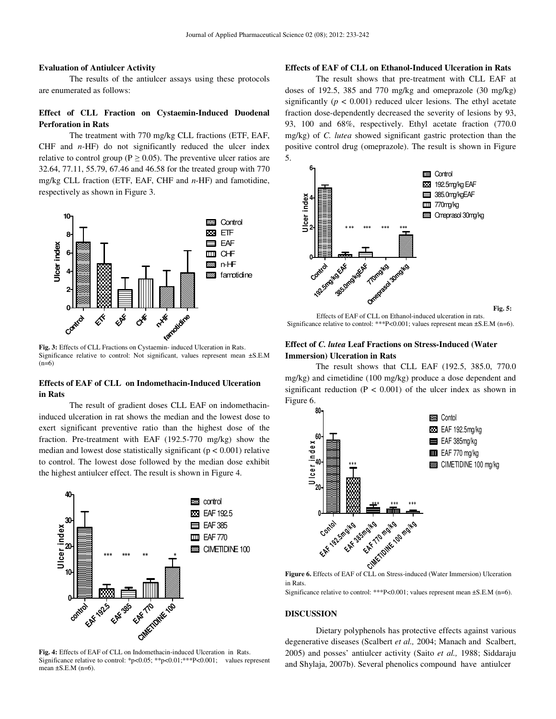# **Evaluation of Antiulcer Activity**

The results of the antiulcer assays using these protocols are enumerated as follows:

# **Effect of CLL Fraction on Cystaemin-Induced Duodenal Perforation in Rats**

The treatment with 770 mg/kg CLL fractions (ETF, EAF, CHF and *n*-HF) do not significantly reduced the ulcer index relative to control group ( $P \ge 0.05$ ). The preventive ulcer ratios are 32.64, 77.11, 55.79, 67.46 and 46.58 for the treated group with 770 mg/kg CLL fraction (ETF, EAF, CHF and *n*-HF) and famotidine, respectively as shown in Figure 3.



**Fig. 3:** Effects of CLL Fractions on Cystaemin- induced Ulceration in Rats. Significance relative to control: Not significant, values represent mean ±S.E.M  $(n=6)$ 

# **Effects of EAF of CLL on Indomethacin-Induced Ulceration in Rats**

The result of gradient doses CLL EAF on indomethacininduced ulceration in rat shows the median and the lowest dose to exert significant preventive ratio than the highest dose of the fraction. Pre-treatment with EAF (192.5-770 mg/kg) show the median and lowest dose statistically significant ( $p < 0.001$ ) relative to control. The lowest dose followed by the median dose exhibit the highest antiulcer effect. The result is shown in Figure 4.



**Fig. 4:** Effects of EAF of CLL on Indomethacin-induced Ulceration in Rats. Significance relative to control: \*p<0.05; \*\*p<0.01; \*\*\*P<0.001; values represent mean  $\pm$ S.E.M (n=6).

# **Effects of EAF of CLL on Ethanol-Induced Ulceration in Rats**

The result shows that pre-treatment with CLL EAF at doses of 192.5, 385 and 770 mg/kg and omeprazole (30 mg/kg) significantly  $(p < 0.001)$  reduced ulcer lesions. The ethyl acetate fraction dose-dependently decreased the severity of lesions by 93, 93, 100 and 68%, respectively. Ethyl acetate fraction (770.0 mg/kg) of *C. lutea* showed significant gastric protection than the positive control drug (omeprazole). The result is shown in Figure 5.



Effects of EAF of CLL on Ethanol-induced ulceration in rats. Significance relative to control: \*\*\* $P < 0.001$ ; values represent mean  $\pm$ S.E.M (n=6).

# **Effect of** *C. lutea* **Leaf Fractions on Stress-Induced (Water Immersion) Ulceration in Rats**

The result shows that CLL EAF (192.5, 385.0, 770.0 mg/kg) and cimetidine (100 mg/kg) produce a dose dependent and significant reduction ( $P < 0.001$ ) of the ulcer index as shown in Figure 6.



**Figure 6.** Effects of EAF of CLL on Stress-induced (Water Immersion) Ulceration in Rats.

Significance relative to control: \*\*\*P<0.001; values represent mean ±S.E.M (n=6).

## **DISCUSSION**

Dietary polyphenols has protective effects against various degenerative diseases (Scalbert *et al.,* 2004; Manach and Scalbert, 2005) and posses' antiulcer activity (Saito *et al.,* 1988; Siddaraju and Shylaja, 2007b). Several phenolics compound have antiulcer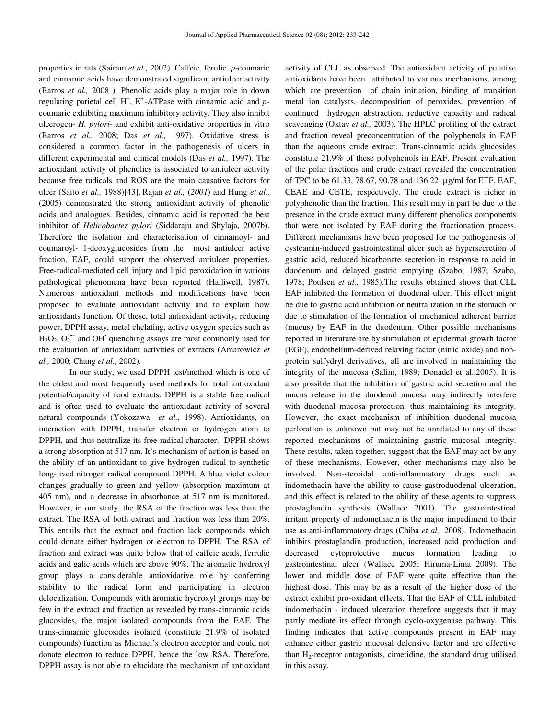properties in rats (Sairam *et al.,* 2002). Caffeic, ferulic, *p*-coumaric and cinnamic acids have demonstrated significant antiulcer activity (Barros *et al.,* 2008 ). Phenolic acids play a major role in down regulating parietal cell H<sup>+</sup>, K<sup>+</sup>-ATPase with cinnamic acid and pcoumaric exhibiting maximum inhibitory activity. They also inhibit ulcerogen- *H. pylori-* and exhibit anti-oxidative properties in vitro (Barros *et al.,* 2008; Das *et al.,* 1997). Oxidative stress is considered a common factor in the pathogenesis of ulcers in different experimental and clinical models (Das *et al.,* 1997). The antioxidant activity of phenolics is associated to antiulcer activity because free radicals and ROS are the main causative factors for ulcer (Saito *et al.,* 1988)[43]. Rajan *et al.,* (*2001*) and Hung *et al.,*  (2005) demonstrated the strong antioxidant activity of phenolic acids and analogues. Besides, cinnamic acid is reported the best inhibitor of *Helicobacter pylori* (Siddaraju and Shylaja, 2007b). Therefore the isolation and characterisation of cinnamoyl- and coumaroyl- 1-deoxyglucosides from the most antiulcer active fraction, EAF, could support the observed antiulcer properties. Free-radical-mediated cell injury and lipid peroxidation in various pathological phenomena have been reported (Halliwell, 1987). Numerous antioxidant methods and modifications have been proposed to evaluate antioxidant activity and to explain how antioxidants function. Of these, total antioxidant activity, reducing power, DPPH assay, metal chelating, active oxygen species such as  $H_2O_2$ ,  $O_2$ <sup>+</sup> and OH<sup>\*</sup> quenching assays are most commonly used for the evaluation of antioxidant activities of extracts (Amarowicz *et al.,* 2000; Chang *et al.,* 2002).

In our study, we used DPPH test/method which is one of the oldest and most frequently used methods for total antioxidant potential/capacity of food extracts. DPPH is a stable free radical and is often used to evaluate the antioxidant activity of several natural compounds (Yokozawa *et al.,* 1998). Antioxidants, on interaction with DPPH, transfer electron or hydrogen atom to DPPH, and thus neutralize its free-radical character. DPPH shows a strong absorption at 517 nm. It's mechanism of action is based on the ability of an antioxidant to give hydrogen radical to synthetic long-lived nitrogen radical compound DPPH. A blue violet colour changes gradually to green and yellow (absorption maximum at 405 nm), and a decrease in absorbance at 517 nm is monitored. However, in our study, the RSA of the fraction was less than the extract. The RSA of both extract and fraction was less than 20%. This entails that the extract and fraction lack compounds which could donate either hydrogen or electron to DPPH. The RSA of fraction and extract was quite below that of caffeic acids, ferrulic acids and galic acids which are above 90%. The aromatic hydroxyl group plays a considerable antioxidative role by conferring stability to the radical form and participating in electron delocalization. Compounds with aromatic hydroxyl groups may be few in the extract and fraction as revealed by trans-cinnamic acids glucosides, the major isolated compounds from the EAF. The trans-cinnamic glucosides isolated (constitute 21.9% of isolated compounds) function as Michael's electron acceptor and could not donate electron to reduce DPPH, hence the low RSA. Therefore, DPPH assay is not able to elucidate the mechanism of antioxidant

activity of CLL as observed. The antioxidant activity of putative antioxidants have been attributed to various mechanisms, among which are prevention of chain initiation, binding of transition metal ion catalysts, decomposition of peroxides, prevention of continued hydrogen abstraction, reductive capacity and radical scavenging (Oktay *et al.,* 2003). The HPLC profiling of the extract and fraction reveal preconcentration of the polyphenols in EAF than the aqueous crude extract. Trans-cinnamic acids glucosides constitute 21.9% of these polyphenols in EAF. Present evaluation of the polar fractions and crude extract revealed the concentration of TPC to be 61.33, 78.67, 90.78 and 136.22 µg/ml for ETF, EAF, CEAE and CETE, respectively. The crude extract is richer in polyphenolic than the fraction. This result may in part be due to the presence in the crude extract many different phenolics components that were not isolated by EAF during the fractionation process. Different mechanisms have been proposed for the pathogenesis of cysteamin-induced gastrointestinal ulcer such as hypersecretion of gastric acid, reduced bicarbonate secretion in response to acid in duodenum and delayed gastric emptying (Szabo, 1987; Szabo, 1978; Poulsen *et al.,* 1985).The results obtained shows that CLL EAF inhibited the formation of duodenal ulcer. This effect might be due to gastric acid inhibition or neutralization in the stomach or due to stimulation of the formation of mechanical adherent barrier (mucus) by EAF in the duodenum. Other possible mechanisms reported in literature are by stimulation of epidermal growth factor (EGF), endothelium-derived relaxing factor (nitric oxide) and nonprotein sulfydryl derivatives, all are involved in maintaining the integrity of the mucosa (Salim, 1989; Donadel et al.,2005). It is also possible that the inhibition of gastric acid secretion and the mucus release in the duodenal mucosa may indirectly interfere with duodenal mucosa protection, thus maintaining its integrity. However, the exact mechanism of inhibition duodenal mucosa perforation is unknown but may not be unrelated to any of these reported mechanisms of maintaining gastric mucosal integrity. These results, taken together, suggest that the EAF may act by any of these mechanisms. However, other mechanisms may also be involved. Non-steroidal anti-inflammatory drugs such as indomethacin have the ability to cause gastroduodenal ulceration, and this effect is related to the ability of these agents to suppress prostaglandin synthesis (Wallace 2001). The gastrointestinal irritant property of indomethacin is the major impediment to their use as anti-inflammatory drugs (Chiba *et al.,* 2008). Indomethacin inhibits prostaglandin production, increased acid production and decreased cytoprotective mucus formation leading to gastrointestinal ulcer (Wallace 2005; Hiruma-Lima 2009). The lower and middle dose of EAF were quite effective than the highest dose. This may be as a result of the higher dose of the extract exhibit pro-oxidant effects. That the EAF of CLL inhibited indomethacin - induced ulceration therefore suggests that it may partly mediate its effect through cyclo-oxygenase pathway. This finding indicates that active compounds present in EAF may enhance either gastric mucosal defensive factor and are effective than  $H_2$ -receptor antagonists, cimetidine, the standard drug utilised in this assay.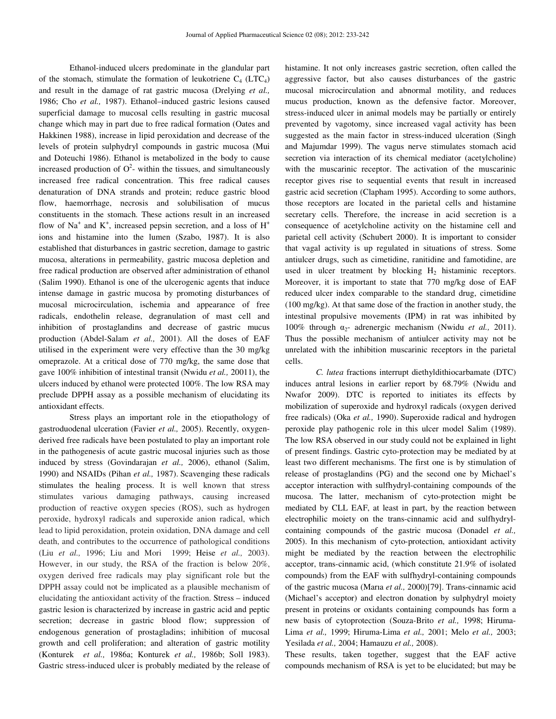Ethanol-induced ulcers predominate in the glandular part of the stomach, stimulate the formation of leukotriene  $C_4$  (LTC<sub>4</sub>) and result in the damage of rat gastric mucosa (Drelying *et al.,*  1986; Cho *et al.,* 1987). Ethanol–induced gastric lesions caused superficial damage to mucosal cells resulting in gastric mucosal change which may in part due to free radical formation (Oates and Hakkinen 1988), increase in lipid peroxidation and decrease of the levels of protein sulphydryl compounds in gastric mucosa (Mui and Doteuchi 1986). Ethanol is metabolized in the body to cause increased production of  $O^2$ - within the tissues, and simultaneously increased free radical concentration. This free radical causes denaturation of DNA strands and protein; reduce gastric blood flow, haemorrhage, necrosis and solubilisation of mucus constituents in the stomach. These actions result in an increased flow of Na<sup>+</sup> and K<sup>+</sup>, increased pepsin secretion, and a loss of  $H^+$ ions and histamine into the lumen (Szabo, 1987). It is also established that disturbances in gastric secretion, damage to gastric mucosa, alterations in permeability, gastric mucosa depletion and free radical production are observed after administration of ethanol (Salim 1990). Ethanol is one of the ulcerogenic agents that induce intense damage in gastric mucosa by promoting disturbances of mucosal microcirculation, ischemia and appearance of free radicals, endothelin release, degranulation of mast cell and inhibition of prostaglandins and decrease of gastric mucus production (Abdel-Salam *et al.,* 2001). All the doses of EAF utilised in the experiment were very effective than the 30 mg/kg omeprazole. At a critical dose of 770 mg/kg, the same dose that gave 100% inhibition of intestinal transit (Nwidu *et al.,* 20011), the ulcers induced by ethanol were protected 100%. The low RSA may preclude DPPH assay as a possible mechanism of elucidating its antioxidant effects.

Stress plays an important role in the etiopathology of gastroduodenal ulceration (Favier *et al.,* 2005). Recently, oxygenderived free radicals have been postulated to play an important role in the pathogenesis of acute gastric mucosal injuries such as those induced by stress (Govindarajan *et al.,* 2006), ethanol (Salim, 1990) and NSAIDs (Pihan *et al.,* 1987). Scavenging these radicals stimulates the healing process. It is well known that stress stimulates various damaging pathways, causing increased production of reactive oxygen species (ROS), such as hydrogen peroxide, hydroxyl radicals and superoxide anion radical, which lead to lipid peroxidation, protein oxidation, DNA damage and cell death, and contributes to the occurrence of pathological conditions (Liu *et al.,* 1996; Liu and Mori 1999; Heise *et al.,* 2003). However, in our study, the RSA of the fraction is below 20%, oxygen derived free radicals may play significant role but the DPPH assay could not be implicated as a plausible mechanism of elucidating the antioxidant activity of the fraction. Stress – induced gastric lesion is characterized by increase in gastric acid and peptic secretion; decrease in gastric blood flow; suppression of endogenous generation of prostagladins; inhibition of mucosal growth and cell proliferation; and alteration of gastric motility (Konturek *et al.,* 1986a; Konturek *et al.,* 1986b; Soll 1983). Gastric stress-induced ulcer is probably mediated by the release of

histamine. It not only increases gastric secretion, often called the aggressive factor, but also causes disturbances of the gastric mucosal microcirculation and abnormal motility, and reduces mucus production, known as the defensive factor. Moreover, stress-induced ulcer in animal models may be partially or entirely prevented by vagotomy, since increased vagal activity has been suggested as the main factor in stress-induced ulceration (Singh and Majumdar 1999). The vagus nerve stimulates stomach acid secretion via interaction of its chemical mediator (acetylcholine) with the muscarinic receptor. The activation of the muscarinic receptor gives rise to sequential events that result in increased gastric acid secretion (Clapham 1995). According to some authors, those receptors are located in the parietal cells and histamine secretary cells. Therefore, the increase in acid secretion is a consequence of acetylcholine activity on the histamine cell and parietal cell activity (Schubert 2000). It is important to consider that vagal activity is up regulated in situations of stress. Some antiulcer drugs, such as cimetidine, ranitidine and famotidine, are used in ulcer treatment by blocking  $H_2$  histaminic receptors. Moreover, it is important to state that 770 mg/kg dose of EAF reduced ulcer index comparable to the standard drug, cimetidine (100 mg/kg). At that same dose of the fraction in another study, the intestinal propulsive movements (IPM) in rat was inhibited by 100% through  $\alpha_2$ - adrenergic mechanism (Nwidu *et al.*, 2011). Thus the possible mechanism of antiulcer activity may not be unrelated with the inhibition muscarinic receptors in the parietal cells.

 *C. lutea* fractions interrupt diethyldithiocarbamate (DTC) induces antral lesions in earlier report by 68.79% (Nwidu and Nwafor 2009). DTC is reported to initiates its effects by mobilization of superoxide and hydroxyl radicals (oxygen derived free radicals) (Oka *et al.,* 1990). Superoxide radical and hydrogen peroxide play pathogenic role in this ulcer model Salim (1989). The low RSA observed in our study could not be explained in light of present findings. Gastric cyto-protection may be mediated by at least two different mechanisms. The first one is by stimulation of release of prostaglandins (PG) and the second one by Michael's acceptor interaction with sulfhydryl-containing compounds of the mucosa. The latter, mechanism of cyto-protection might be mediated by CLL EAF, at least in part, by the reaction between electrophilic moiety on the trans-cinnamic acid and sulfhydrylcontaining compounds of the gastric mucosa (Donadel *et al.,*  2005). In this mechanism of cyto-protection, antioxidant activity might be mediated by the reaction between the electrophilic acceptor, trans-cinnamic acid, (which constitute 21.9% of isolated compounds) from the EAF with sulfhydryl-containing compounds of the gastric mucosa (Marıa *et al.,* 2000)[79]. Trans-cinnamic acid (Michael's acceptor) and electron donation by sulphydryl moiety present in proteins or oxidants containing compounds has form a new basis of cytoprotection (Souza-Brito *et al.,* 1998; Hiruma-Lima *et al.,* 1999; Hiruma-Lima *et al.,* 2001; Melo *et al.,* 2003; Yesilada *et al.,* 2004; Hamauzu *et al.,* 2008).

These results, taken together, suggest that the EAF active compounds mechanism of RSA is yet to be elucidated; but may be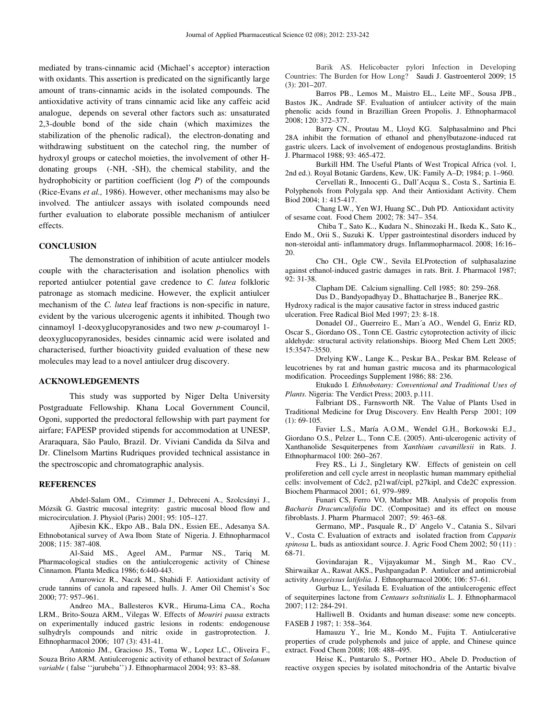mediated by trans-cinnamic acid (Michael's acceptor) interaction with oxidants. This assertion is predicated on the significantly large amount of trans-cinnamic acids in the isolated compounds. The antioxidative activity of trans cinnamic acid like any caffeic acid analogue, depends on several other factors such as: unsaturated 2,3-double bond of the side chain (which maximizes the stabilization of the phenolic radical), the electron-donating and withdrawing substituent on the catechol ring, the number of hydroxyl groups or catechol moieties, the involvement of other Hdonating groups (-NH, -SH), the chemical stability, and the hydrophobicity or partition coefficient (log *P*) of the compounds (Rice-Evans *et al.,* 1986). However, other mechanisms may also be involved. The antiulcer assays with isolated compounds need further evaluation to elaborate possible mechanism of antiulcer effects.

# **CONCLUSION**

The demonstration of inhibition of acute antiulcer models couple with the characterisation and isolation phenolics with reported antiulcer potential gave credence to *C. lutea* folkloric patronage as stomach medicine. However, the explicit antiulcer mechanism of the *C. lutea* leaf fractions is non-specific in nature, evident by the various ulcerogenic agents it inhibited. Though two cinnamoyl 1-deoxyglucopyranosides and two new *p*-coumaroyl 1 deoxyglucopyranosides, besides cinnamic acid were isolated and characterised, further bioactivity guided evaluation of these new molecules may lead to a novel antiulcer drug discovery.

#### **ACKNOWLEDGEMENTS**

This study was supported by Niger Delta University Postgraduate Fellowship. Khana Local Government Council, Ogoni, supported the predoctoral fellowship with part payment for airfare; FAPESP provided stipends for accommodation at UNESP, Araraquara, São Paulo, Brazil. Dr. Viviani Candida da Silva and Dr. Clinelsom Martins Rudriques provided technical assistance in the spectroscopic and chromatographic analysis.

# **REFERENCES**

Abdel-Salam OM., Czimmer J., Debreceni A., Szolcsányi J., Mózsik G. Gastric mucosal integrity: gastric mucosal blood flow and microcirculation. J. Physiol (Paris) 2001; 95: 105–127.

Ajibesin KK., Ekpo AB., Bala DN., Essien EE., Adesanya SA. Ethnobotanical survey of Awa Ibom State of Nigeria. J. Ethnopharmacol 2008; 115: 387-408.

Al-Said MS., Ageel AM., Parmar NS., Tariq M. Pharmacological studies on the antiulcerogenic activity of Chinese Cinnamon. Planta Medica 1986; 6:440-443.

Amarowicz R., Naczk M., Shahidi F. Antioxidant activity of crude tannins of canola and rapeseed hulls. J. Amer Oil Chemist's Soc 2000; 77: 957–961.

Andreo MA., Ballesteros KVR., Hiruma-Lima CA., Rocha LRM., Brito-Souza ARM., Vilegas W. Effects of *Mouriri pausa* extracts on experimentally induced gastric lesions in rodents: endogenouse sulhydryls compounds and nitric oxide in gastroprotection. J. Ethnopharmacol 2006; 107 (3): 431-41.

 Antonio JM., Gracioso JS., Toma W., Lopez LC., Oliveira F., Souza Brito ARM. Antiulcerogenic activity of ethanol bextract of *Solanum variable* ( false ''jurubeba'') J. Ethnopharmacol 2004; 93: 83–88.

 Barik AS. Helicobacter pylori Infection in Developing Countries: The Burden for How Long? Saudi J. Gastroenterol 2009; 15 (3): 201–207.

 Barros PB., Lemos M., Maistro EL., Leite MF., Sousa JPB., Bastos JK., Andrade SF. Evaluation of antiulcer activity of the main phenolic acids found in Brazillian Green Propolis. J. Ethnopharmacol 2008; 120: 372–377.

Barry CN., Proutau M., Lloyd KG. Salphasalmino and Phci 28A inhibit the formation of ethanol and phenylbutazone-induced rat gastric ulcers. Lack of involvement of endogenous prostaglandins. British J. Pharmacol 1988; 93: 465-472.

Burkill HM. The Useful Plants of West Tropical Africa (vol. 1, 2nd ed.). Royal Botanic Gardens, Kew, UK: Family A–D; 1984; p. 1–960.

Cervellati R., Innocenti G., Dall'Acqua S., Costa S., Sartinia E. Polyphenols from Polygala spp. And their Antioxidant Activity. Chem Biod 2004; 1: 415-417.

Chang LW., Yen WJ, Huang SC., Duh PD. Antioxidant activity of sesame coat. Food Chem 2002; 78: 347– 354.

 Chiba T., Sato K.., Kudara N., Shinozaki H., Ikeda K., Sato K., Endo M., Orii S., Suzuki K. Upper gastrointestinal disorders induced by non-steroidal anti- inflammatory drugs. Inflammopharmacol. 2008; 16:16– 20.

Cho CH., Ogle CW., Sevila EI.Protection of sulphasalazine against ethanol-induced gastric damages in rats. Brit. J. Pharmacol 1987; 92: 31-38.

Clapham DE. Calcium signalling. Cell 1985; 80: 259–268.

Das D., Bandyopadhyay D., Bhattacharjee B., Banerjee RK.. Hydroxy radical is the major causative factor in stress induced gastric ulceration. Free Radical Biol Med 1997; 23: 8-18.

Donadel OJ., Guerreiro E., Marı´a AO., Wendel G, Enriz RD, Oscar S., Giordano OS., Tonn CE. Gastric cytoprotection activity of ilicic aldehyde: structural activity relationships. Bioorg Med Chem Lett 2005; 15:3547–3550.

 Drelying KW., Lange K.., Peskar BA., Peskar BM. Release of leucotrienes by rat and human gastric mucosa and its pharmacological modification. Proceedings Supplement 1986; 88: 236.

 Etukudo I. *Ethnobotany: Conventional and Traditional Uses of Plants*. Nigeria: The Verdict Press; 2003, p.111.

 Falbriant DS., Farnsworth NR. The Value of Plants Used in Traditional Medicine for Drug Discovery*.* Env Health Persp 2001; 109  $(1): 69-105.$ 

 Favier L.S., María A.O.M., Wendel G.H., Borkowski E.J., Giordano O.S., Pelzer L., Tonn C.E. (2005). Anti-ulcerogenic activity of Xanthanolide Sesquiterpenes from *Xanthium cavanillesii* in Rats. J. Ethnopharmacol 100: 260–267.

 Frey RS., Li J., Singletary KW. Effects of genistein on cell proliferetion and cell cycle arrest in neoplastic human mammary epithelial cells: involvement of Cdc2, p21waf/cipl, p27kipl, and Cde2C expression. Biochem Pharmacol 2001; 61*,* 979–989.

 Funari CS, Ferro VO, Mathor MB. Analysis of propolis from *Bacharis Dracunculifolia* DC. (Compositae) and its effect on mouse fibroblasts. J. Pharm Pharmacol 2007; 59: 463–68.

 Germano, MP., Pasquale R., D' Angelo V., Catania S., Silvari V., Costa C. Evaluation of extracts and isolated fraction from *Capparis spinosa* L. buds as antioxidant source. J. Agric Food Chem 2002; 50 (11) : 68-71.

 Govindarajan R., Vijayakumar M., Singh M., Rao CV., Shirwaikar A., Rawat AKS., Pushpangadan P. Antiulcer and antimicrobial activity *Anogeissus latifolia.* J. Ethnopharmacol 2006; 106: 57–61.

 Gurbuz L., Yesilada E. Evaluation of the antiulcerogenic effect of sequiterpines lactone from *Centaurs soltstitialis* L. J. Ethnopharmacol 2007; 112: 284-291.

 Halliwell B. Oxidants and human disease: some new concepts. FASEB J 1987; 1: 358–364.

 Hamauzu Y., Irie M., Kondo M., Fujita T. Antiulcerative properties of crude polyphenols and juice of apple, and Chinese quince extract. Food Chem 2008; 108: 488–495.

Heise K., Puntarulo S., Portner HO., Abele D. Production of reactive oxygen species by isolated mitochondria of the Antartic bivalve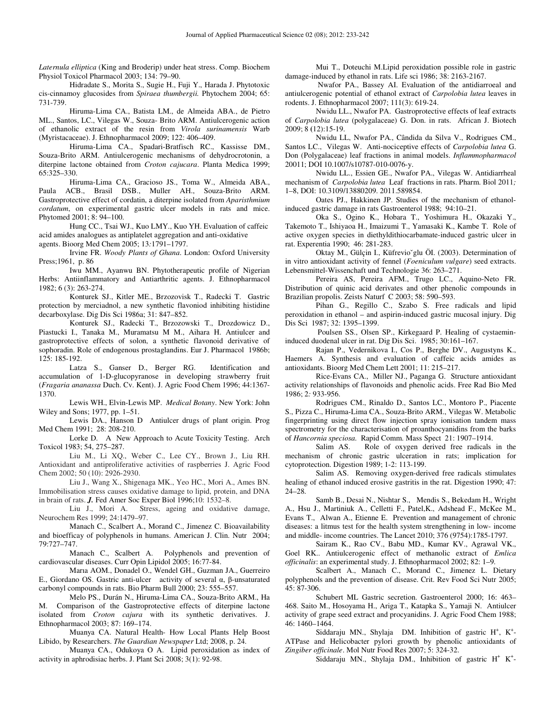*Laternula elliptica* (King and Broderip) under heat stress. Comp. Biochem Physiol Toxicol Pharmacol 2003; 134: 79–90.

 Hidradate S., Morita S., Sugie H., Fuji Y., Harada J. Phytotoxic cis-cinnamoy glucosides from *Spiraea thumbergii.* Phytochem 2004; 65: 731-739.

 Hiruma-Lima CA., Batista LM., de Almeida ABA., de Pietro ML., Santos, LC., Vilegas W., Souza- Brito ARM. Antiulcerogenic action of ethanolic extract of the resin from *Virola surinamensis* Warb (Myristacaceae). J. Ethnopharmacol 2009; 122: 406–409.

Hiruma-Lima CA., Spadari-Bratfisch RC., Kassisse DM., Souza-Brito ARM. Antiulcerogenic mechanisms of dehydrocrotonin, a diterpine lactone obtained from *Croton cajucara*. Planta Medica 1999; 65:325–330.

Hiruma-Lima CA., Gracioso JS., Toma W., Almeida ABA., Paula ACB., Brasil DSB., Muller AH., Souza-Brito ARM. Gastroprotective effect of cordatin, a diterpine isolated from *Aparisthmium cordatum*, on experimental gastric ulcer models in rats and mice. Phytomed 2001; 8: 94–100.

Hung CC., Tsai WJ., Kuo LMY., Kuo YH. Evaluation of caffeic acid amides analogues as antiplatelet aggregation and anti-oxidative agents. Bioorg Med Chem 2005; 13*:*1791–1797.

Irvine FR. *Woody Plants of Ghana*. London: Oxford University Press;1961, p. 86

Iwu MM., Ayanwu BN. Phytotherapeutic profile of Nigerian Herbs: Antiinflammatory and Antiarthritic agents. J. Ethnopharmacol 1982; 6 (3): 263-274.

Konturek SJ., Kitler ME., Brzozovisk T., Radecki T. Gastric protection by merciadnol, a new synthetic flavoniod inhibiting histidine decarboxylase. Dig Dis Sci 1986a; 31: 847–852.

Konturek SJ., Radecki T., Brzozowski T., Drozdowicz D., Piastucki I., Tanaka M., Muramatsu M M., Aihara H. Antiulcer and gastroprotective effects of solon, a synthetic flavonoid derivative of sophoradin. Role of endogenous prostaglandins. Eur J. Pharmacol 1986b; 125: 185-192.

Latza S., Ganser D., Berger RG. Identification and accumulation of 1-D-glucopyranose in developing strawberry fruit (*Fragaria ananassa* Duch. Cv. Kent). J. Agric Food Chem 1996; 44:1367- 1370.

Lewis WH., Elvin-Lewis MP. *Medical Botany*. New York: John Wiley and Sons; 1977, pp. 1–51.

Lewis DA., Hanson D Antiulcer drugs of plant origin. Prog Med Chem 1991; 28: 208-210.

Lorke D. A New Approach to Acute Toxicity Testing. Arch Toxicol 1983; 54, 275–287.

Liu M., Li XQ., Weber C., Lee CY., Brown J., Liu RH. Antioxidant and antiproliferative activities of raspberries J. Agric Food Chem 2002; 50 (10): 2926-2930.

Liu J., Wang X., Shigenaga MK., Yeo HC., Mori A., Ames BN. Immobilisation stress causes oxidative damage to lipid, protein, and DNA in brain of rats. *J.* Fed Amer Soc Exper Biol 1996;10: 1532–8.

Liu J., Mori A. Stress, ageing and oxidative damage, Neurochem Res 1999; 24:1479–97.

Manach C., Scalbert A., Morand C., Jimenez C. Bioavailability and bioefficay of polyphenols in humans. American J. Clin. Nutr 2004; 79:727–747.

Manach C., Scalbert A. Polyphenols and prevention of cardiovascular diseases. Curr Opin Lipidol 2005; 16:77-84.

Marıa AOM., Donadel O., Wendel GH., Guzman JA., Guerreiro E., Giordano OS. Gastric anti-ulcer activity of several α, β-unsaturated carbonyl compounds in rats. Bio Pharm Bull 2000; 23: 555–557.

Melo PS., Durán N., Hiruma-Lima CA., Souza-Brito ARM., Ha M. Comparison of the Gastroprotective effects of diterpine lactone isolated from *Croton cajura* with its synthetic derivatives. J. Ethnopharmacol 2003; 87: 169–174.

Muanya CA. Natural Health- How Local Plants Help Boost Libido, by Researchers. *The Guardian Newspaper* Ltd; 2008, p. 24.

Muanya CA., Odukoya O A. Lipid peroxidation as index of activity in aphrodisiac herbs. J. Plant Sci 2008; 3(1): 92-98.

Mui T., Doteuchi M.Lipid peroxidation possible role in gastric damage-induced by ethanol in rats. Life sci 1986; 38: 2163-2167.

 Nwafor PA., Bassey AI. Evaluation of the antidiarroeal and antiulcerogenic potential of ethanol extract of *Carpolobia lutea* leaves in rodents. J. Ethnopharmacol 2007; 111(3): 619-24.

Nwidu LL., Nwafor PA. Gastroprotective effects of leaf extracts of *Carpolobia lutea* (polygalaceae) G. Don. in rats. African J. Biotech 2009; 8 **(**12):15-19.

Nwidu LL, Nwafor PA., Cândida da Silva V., Rodrigues CM., Santos LC., Vilegas W. Anti-nociceptive effects of *Carpolobia lutea* G. Don (Polygalaceae) leaf fractions in animal models. *Inflammopharmacol* 20011; DOI 10.1007/s10787-010-0076-y.

Nwidu LL., Essien GE., Nwafor PA., Vilegas W. Antidiarrheal mechanism of *Carpolobia lutea* Leaf fractions in rats. Pharm. Biol 2011*;* 1–8, DOI: 10.3109/13880209. 2011.589854.

Oates PJ., Hakkinen JP. Studies of the mechanism of ethanolinduced gastric damage in rats Gastroenterol 1988; 94:10–21.

Oka S., Ogino K., Hobara T., Yoshimura H., Okazaki Y., Takemoto T., Ishiyaoa H., Imaizumi T., Yamasaki K., Kambe T. Role of active oxygen species in diethyldithiocarbamate-induced gastric ulcer in rat. Experentia 1990; 46: 281-283.

Oktay M., Gülçin I., Küfrevioˇglu ÖI. (2003). Determination of in vitro antioxidant activity of fennel (*Foeniculum vulgare*) seed extracts. Lebensmittel-Wissenchaft und Technologie 36: 263–271.

Pereira AS, Pereira AFM., Trugo LC., Aquino-Neto FR. Distribution of quinic acid derivates and other phenolic compounds in Brazilian propolis. Zeists Naturf C 2003; 58: 590–593.

Pihan G., Regillo C., Szabo S. Free radicals and lipid peroxidation in ethanol – and aspirin-induced gastric mucosal injury. Dig Dis Sci 1987; 32: 1395–1399.

 Poulsen SS., Olsen SP., Kirkegaard P. Healing of cystaemininduced duodenal ulcer in rat. Dig Dis Sci.1985; 30:161–167.

Rajan P., Vedernikova I., Cos P., Berghe DV., Augustyns K., Haemers A. Synthesis and evaluation of caffeic acids amides as antioxidants. Bioorg Med Chem Lett 2001; 11: 215–217.

Rice-Evans CA., Miller NJ., Paganga G. Structure antioxidant activity relationships of flavonoids and phenolic acids. Free Rad Bio Med 1986; 2*:* 933-956.

Rodrigues CM., Rinaldo D., Santos LC., Montoro P., Piacente S., Pizza C., Hiruma-Lima CA., Souza-Brito ARM., Vilegas W. Metabolic fingerprinting using direct flow injection spray ionisation tandem mass spectrometry for the characterisation of proanthocyanidins from the barks of *Hancornia speciosa.* Rapid Comm. Mass Spect 21: 1907–1914.

Salim AS. Role of oxygen derived free radicals in the mechanism of chronic gastric ulceration in rats; implication for cytoprotection. Digestion 1989; 1-2: 113-199.

Salim AS. Removing oxygen-derived free radicals stimulates healing of ethanol induced erosive gastritis in the rat. Digestion 1990; 47: 24–28.

Samb B., Desai N., Nishtar S., Mendis S., Bekedam H., Wright A., Hsu J., Martiniuk A., Celletti F., Patel,K., Adshead F., McKee M., Evans T., Alwan A., Etienne E. Prevention and management of chronic diseases: a litmus test for the health system strengthening in low- income and middle- income countries. The Lancet 2010; 376 (9754):1785-1797.

Sairam K., Rao CV., Babu MD., Kumar KV., Agrawal VK., Goel RK.. Antiulcerogenic effect of methanolic extract of *Emlica officinalis*: an experimental study. J. Ethnopharmacol 2002; 82: 1–9.

Scalbert A., Manach C., Morand C., Jimenez L. Dietary polyphenols and the prevention of disease. Crit. Rev Food Sci Nutr 2005; 45: 87-306.

Schubert ML Gastric secretion. Gastroenterol 2000; 16: 463– 468. Saito M., Hosoyama H., Ariga T., Katapka S., Yamaji N. Antiulcer activity of grape seed extract and procyanidins. J. Agric Food Chem 1988; 46: 1460–1464.

Siddaraju MN., Shylaja DM. Inhibition of gastric H<sup>+</sup>, K<sup>+</sup>-ATPase and Helicobacter pylori growth by phenolic antioxidants of *Zingiber officinale*. Mol Nutr Food Res 2007; 5: 324-32.

Siddaraju MN., Shylaja DM., Inhibition of gastric  $H^+ K^+$ -